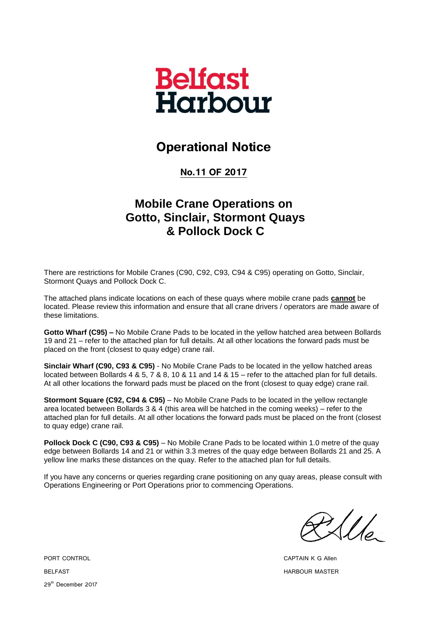

## **Operational Notice**

**No.11 OF 2017**

## **Mobile Crane Operations on Gotto, Sinclair, Stormont Quays & Pollock Dock C**

There are restrictions for Mobile Cranes (C90, C92, C93, C94 & C95) operating on Gotto, Sinclair, Stormont Quays and Pollock Dock C.

The attached plans indicate locations on each of these quays where mobile crane pads **cannot** be located. Please review this information and ensure that all crane drivers / operators are made aware of these limitations.

**Gotto Wharf (C95) –** No Mobile Crane Pads to be located in the yellow hatched area between Bollards 19 and 21 – refer to the attached plan for full details. At all other locations the forward pads must be placed on the front (closest to quay edge) crane rail.

**Sinclair Wharf (C90, C93 & C95)** - No Mobile Crane Pads to be located in the yellow hatched areas located between Bollards 4 & 5, 7 & 8, 10 & 11 and 14 & 15 – refer to the attached plan for full details. At all other locations the forward pads must be placed on the front (closest to quay edge) crane rail.

**Stormont Square (C92, C94 & C95)** – No Mobile Crane Pads to be located in the yellow rectangle area located between Bollards 3 & 4 (this area will be hatched in the coming weeks) – refer to the attached plan for full details. At all other locations the forward pads must be placed on the front (closest to quay edge) crane rail.

**Pollock Dock C (C90, C93 & C95)** – No Mobile Crane Pads to be located within 1.0 metre of the quay edge between Bollards 14 and 21 or within 3.3 metres of the quay edge between Bollards 21 and 25. A yellow line marks these distances on the quay. Refer to the attached plan for full details.

If you have any concerns or queries regarding crane positioning on any quay areas, please consult with Operations Engineering or Port Operations prior to commencing Operations.

 $\mathcal{U}_{\varphi}$ 

PORT CONTROL CAPTAIN K G Allen BELFAST FOR THE SERVICE OF THE SERVICE OF THE SERVICE OF THE SERVICE OF THE SERVICE OF THE SERVICE OF THE SERVICE OF THE SERVICE OF THE SERVICE OF THE SERVICE OF THE SERVICE OF THE SERVICE OF THE SERVICE OF THE SERVICE OF

29<sup>th</sup> December 2017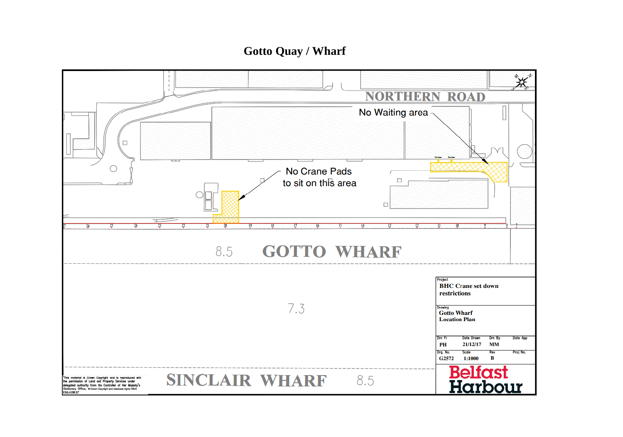## **Gotto Quay / Wharf**

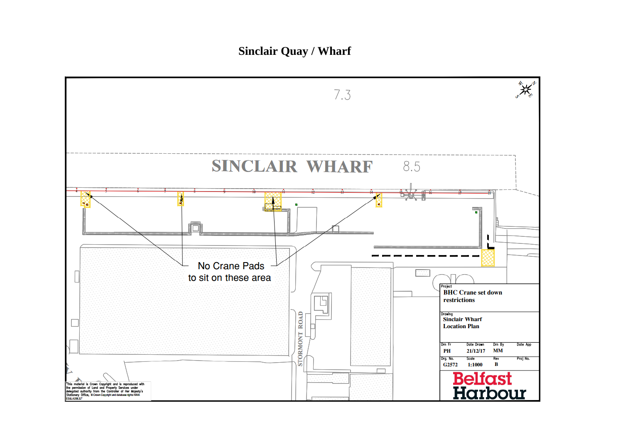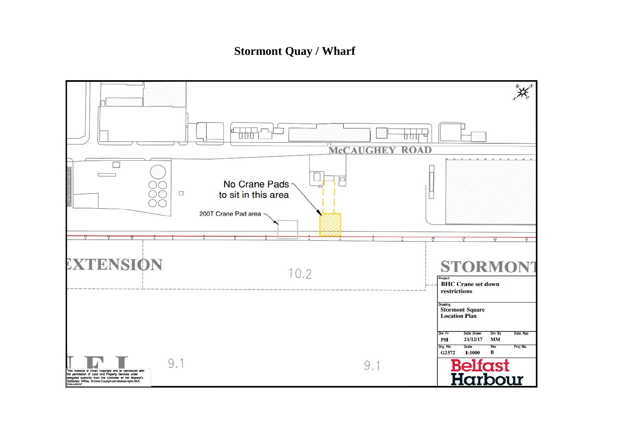## **Stormont Quay / Wharf**